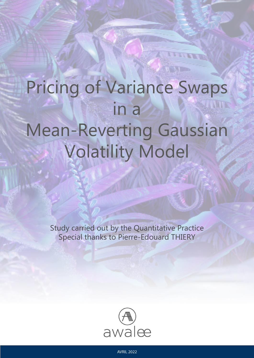# Pricing of Variance Swaps in a Mean-Reverting Gaussian Volatility Model

Study carried out by the Quantitative Practice Special thanks to Pierre-Edouard THIERY

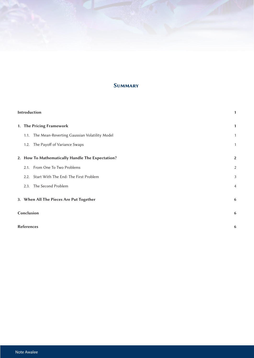# **SUMMARY**

| Introduction |                                                   |                |
|--------------|---------------------------------------------------|----------------|
|              | 1. The Pricing Framework                          | 1              |
|              | 1.1. The Mean-Reverting Gaussian Volatility Model | 1              |
|              | 1.2. The Payoff of Variance Swaps                 | 1              |
|              | 2. How To Mathematically Handle The Expectation?  | $\overline{2}$ |
|              | 2.1. From One To Two Problems                     | $\overline{2}$ |
|              | Start With The End: The First Problem<br>2.2.     | 3              |
|              | The Second Problem<br>2.3.                        | 4              |
|              | 3. When All The Pieces Are Put Together           | 6              |
|              | Conclusion                                        | 6              |
|              | <b>References</b>                                 |                |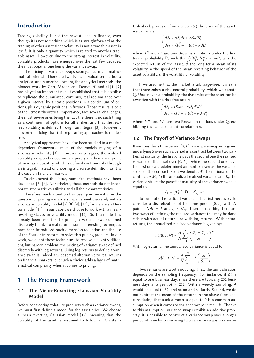## Introduction

Trading volatility is not the newest idea in finance, even though it is not something which is as straightforward as the trading of other asset since volatility is not a tradable asset in itself. It is only a quantity which is related to another tradable asset. However, due to the strong interest in volatility, volatility products have emerged over the last few decades, the most popular one being the variance swap.

The pricing of variance swaps soon gained much mathematical interest. There are two types of valuation methods: analytical and numerical. Among the analytical methods, the pioneer work by Carr, Madan and Demeterfi and al.[1] [2] has played an important role: it established that it is possible to replicate the cumulated, continus, realized variance over a given interval by a static positions in a continuum of options, plus dynamic positions in futures. Those results, albeit of the utmost theoretical importance, face several challenges, the most severe ones being the fact the there is no such thing as a continuum of options for all strikes, and that the realized volatility is defined through an integral [3]. However it is worth noticing that this replicating approaches is modelfree.

Analytical approaches have also been studied in a modeldependent framework, most of the models relying of a stochastic volatility [4]. However, once again, the realized volatility is apprehended with a purely mathematical point of view, as a quantity which is defined continuously through an integral, instead of choosing a discrete definition, as it is the case on financial markets.

To circumvent this issue, numerical methods have been developed [5] [6]. Nonetheless, those methods do not incorporate stochastic volatilities and all their characteristics.

Therefore much attention has been paid recently on the question of pricing variance swaps defined discretely with a stochastic volatility model [7] [8] [9], [10], for instance a Heston model [11]. In our paper, we choose to work with a meanreverting Gaussian volatility model [12]. Such a model has already been used for the pricing a variance swap defined discretely thanks to real returns: some interesting techniques have been introduced, such dimension reduction and the use of the Fourier transform, to solve this pricing problem. In our work, we adapt those techniques to resolve a slightly different, but harder, problem: the pricing of variance swap defined discretely with log-returns. Using log-returns to define a variance swap is indeed a widespread alternative to real returns on financial markets, but such a choice adds a layer of mathematical complexity when it comes to pricing.

## 1 The Pricing Framework

## 1.1 The Mean-Reverting Gaussian Volatility Model

Before considering volatility products such as variance swaps, we must first define a model for the asset price. We choose a mean-reverting Gaussian model [12], meaning that the volatility of the asset is assumed to follow an OrnsteinUhlenbeck process. If we denote  $(S_t)$  the price of the asset, we can write:

$$
\begin{cases} dS_t = \mu S_t dt + \nu_t S_t dB_t^S \\ d\nu_t = \tilde{\kappa}(\tilde{\theta} - \nu_t) dt + \sigma dB_t^{\nu} \end{cases}
$$

where  $B^S$  and  $B^{\nu}$  are two Brownian motions under the historical probability  $\mathbb{P}$ , such that  $\langle dB_t^S, dB_t^{\nu} \rangle = \rho dt$ ,  $\mu$  is the expected return of the asset,  $\tilde{\theta}$  the long-term mean of its volatility,  $\kappa$  the speed of the mean-reverting behavior of the asset volatility,  $\sigma$  the volatility of volatility.

If we assume that the market is arbitrage-free, it means that there exists a risk-neutral probability, which we denote Q. Under such a probability, the dynamics of the asset can be rewritten with the risk-free rate *r*:

$$
\begin{cases} dS_t = rS_t dt + \nu_t S_t dW_t^S \\ d\nu_t = \kappa(\theta - \nu_t) dt + \sigma dW_t^{\nu} \end{cases}
$$

where  $W^S$  and  $W_\nu$  are two Brownian motions under  $\mathbb{Q}$ , exhibiting the same constant correlation  $\rho$ .

### 1.2 The Payoff of Variance Swaps

If we consider a time period [0, *T*], a variance swap on a given underlying *S* over such a period is a contract between two parties: at maturity, the first one pays the second one the realized variance of the asset over  $[0, T]$ , while the second one pays the first one a predetermined amount, known as the variance strike of the contract. So, if we denote  $N$  the notional of the contract,  $\sigma_R^2(0, T)$  the annualized realized variance and  $K_v$  the variance strike, the payoff at maturity of the variance swap is equal to:

$$
V_T = \left(\sigma_R^2(0,T) - K_v\right)\mathcal{N}
$$

To compute the realized variance, it is first necessary to consider a discretization of the time period [0, *T*] with *N* points:  $N\Delta t = T$  and  $t_i = i\Delta t$ . Then, in real life, there are two ways of defining the realized variance: this may be done either with actual returns, or with log-returns. With actual returns, the annualized realized variance is given by:

$$
\sigma_R^2(0, T, N) = \frac{A}{N} \sum_{i=1}^N \left( \frac{S_{t_i} - S_{t_{i-1}}}{S_{t_{i-1}}} \right)^2
$$

With log-returns, the annualized variance is equal to:

$$
\sigma_R^2(0,T,N)=\frac{A}{N}\sum_{i=1}^N\ln^2\left(\frac{S_{t_i}}{S_{t_{i-1}}}\right)
$$

Two remarks are worth noticing. First, the annualization depends on the sampling frequency. For instance, if *∆t* is equal to one business day, since there are typically 252 business days in a year, *A* = 252. With a weekly sampling, *A* would be equal to 52, and so on and so forth. Second, we do not subtract the mean of the returns in the above formulas: considering that such a mean is equal to 0 is a common assumption when it comes to variance swaps in real life. Thanks to this assumption, variance swaps exhibit an additive property: it is possible to construct a variance swap over a longer period of time by considering two variance swaps on shorter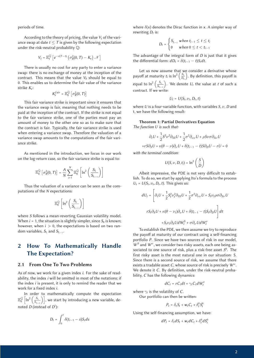periods of time.

According to the theory of pricing, the value  $V_t$  of the variance swap at date  $t \leq T$  is given by the following expectation under the risk-neutral probability Q:

$$
V_t = \mathbb{E}^{\mathbb{Q}}_t \left[ e^{-r(T-t)} \left( \sigma_R^2(0, T) - K_v \right) \mathcal{N} \right]
$$

There is usually no cost for any party to enter a variance swap: there is no exchange of money at the inception of the contract. This means that the value  $V_0$  should be equal to 0. This enables us to determine the fair value of the variance strike *K<sub>v</sub>*:

$$
K_v^{fair} = \mathbb{E}^{\mathbb{Q}}_0 \left[ \sigma_R^2(0, T) \right]
$$

This fair variance strike is important since it ensures that the variance swap is fair, meaning that nothing needs to be paid at the inception of the contract. If the strike is not equal to the fair variance strike, one of the parties must pay an amount of money to the other one so as to make sure that the contract is fair. Typically, the fair variance strike is used when entering a variance swap. Therefore the valuation of a variance swap amounts to the computations of the fair variance strike.

As mentioned in the introduction, we focus in our work on the log-return case, so the fair variance strike is equal to:

$$
\mathbb{E}_0^{\mathbb{Q}}\left[\sigma_R^2(0,T)\right] = \frac{A}{N}\sum_{i=1}^N \mathbb{E}_0^{\mathbb{Q}}\left[\ln^2\left(\frac{S_{t_i}}{S_{t_{i-1}}}\right)\right]
$$

Thus the valuation of a variance can be seen as the computations of the *N* expectations:

$$
\mathbb{E}^{\mathbb{Q}}_0\left[\ln^2\left(\frac{S_{t_i}}{S_{t_{i-1}}}\right)\right]
$$

where *S* follows a mean-reverting Gaussian volatility model. When  $i = 1$ , the situation is slightly simpler, since  $S_0$  is known; however, when  $i > 0$ , the expectations is based on two random variables,  $S_t$  and  $S_t$ <sub>i</sub>.

# 2 How To Mathematically Handle The Expectation?

#### 2.1 From One To Two Problems

As of now, we work for a given index *i*. For the sake of readability, the index *i* will be omitted in most of the notations; if the index *i* is present, it is only to remind the reader that we work for a fixed index *i*.

In order to mathematically compute the expectation  $\mathbb{E}_{0}^{\mathbb{Q}}\left[\ln^{2}\left(\frac{S_{t_{i}}}{S_{t_{i-1}}}\right)\right]$ , we start by introducing a new variable, denoted *D* (instead of *D<sup>i</sup>* ):

$$
D_t = \int_0^t \delta(t_{i-1} - s) S_s ds
$$

where  $\delta(x)$  denotes the Dirac function in *x*. A simpler way of rewriting  $D_t$  is:

$$
D_t = \begin{cases} S_{t_{i-1}} & \text{when } t_{i-1} \leq t \leq t_i \\ 0 & \text{when } 0 \leq t < t_{i-1} \end{cases}
$$

The advantage of the integral form of *D* is just that it gives the differential form:  $dD_t = \delta(t_{i-1} - t)S_t dt$ .

Let us now assume that we consider a derivative whose payoff at maturity  $t_i$  is  $\ln^2\left(\frac{S_{t_i}}{D_t}\right)$  $\sum_{n=1}^{\infty}$ . By definition, this payoff is equal to  $\ln^2 \left( \frac{S_{t_i}}{S_{t_{i-1}}} \right)$ ). We denote  $U_t$  the value at *t* of such a contract. If we write:

$$
U_t = U(S_t, \nu_t, D_t, t)
$$

where *U* is a four-variable function, with variables *S*, ν, *D* and t, we have the following result:

#### Theorem 1: Partial Derivatives Equation *The function U is such that:*

$$
\partial_t U + \frac{1}{2} S^2 \nu^2 \partial_{SS} U + \frac{1}{2} \sigma^2 \partial_{\nu \nu} U + \rho S \nu \sigma \partial_{S \nu} U
$$

$$
+ r S \partial_S U + \kappa (\theta - \nu) \partial_{\nu} U + \delta (t_{i-1} - t) S \partial_D U - r U = 0
$$

*with the terminal condition:*

$$
U(S, \nu, D, t_i) = \ln^2\left(\frac{S}{D}\right)
$$

Albeit impressive, the PDE is not very difficult to establish. To do so, we start by applying Ito's formula to the process  $U_t = U(S_t, \nu_t, D_t, t)$ . This gives us:

$$
dU_t = \left[\partial_t U + \frac{1}{2} S_t^2 \nu_t^2 \partial_{SS} U + \frac{1}{2} \sigma^2 \partial_{\nu \nu} U + S_t \nu_t \rho \sigma \partial_{S \nu} U\right]
$$
  

$$
r S_t \partial_S U + \kappa (\theta - \nu_t) \partial_{\nu} U + \delta(t_{i-1} - t) S_t \partial_D U\right] dt
$$
  

$$
+ S_t \nu_t \partial_S U dW_t^S + \sigma \partial_{\nu} U dW_t^{\nu}
$$

To establish the PDE, we then assume we try to reproduce the payoff at maturity of our contract using a self-financing portfolio *P*. Since we have two sources of risk in our model, *W<sup>S</sup>* and *W*<sup>ν</sup>, we consider two risky assets, each one being associated to one source of risk, plus a risk-free asset *S*0. The first risky asset is the most natural one in our situation: S. Since there is a second source of risk, we assume that there exists a tradable asset *C*, whose source of risk is precisely *W*<sup>ν</sup>. We denote it *C*. By definition, under the risk-neutral probability, *C* has the following dynamics:

$$
dC_t = rC_t dt + \gamma_t C_t dW_t^{\nu}
$$

where  $\gamma_t$  is the volatility of *C*.

Our portfolio can then be written:

$$
P_t = \delta_t S_t + w_t C_t + \delta_t^0 S_t^0
$$

Using the self-financing assumption, we have:

 $dP_t = \delta_t dS_t + w_t dC_t + \delta_t^0 dS_t^0$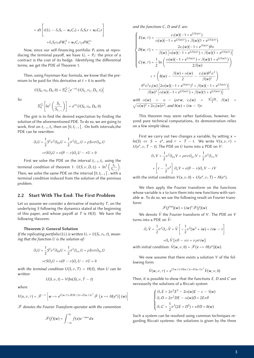$$
= dt \left[ r(U_t - \delta_t S_t - w_t C_t) + \delta_t S_t r + w_t C_t r \right]
$$

$$
+ \delta_t S_t \nu_t dW_t^S + w_t C_t \gamma_t dW_t^{\nu_t}
$$

Now, since our self-financing portfolio *Pt* aims at reproducing the terminal payoff, we have  $U_t = P_t$ : the price of a contract is the cost of its hedge. Identifying the differential terms, we get the PDE of Theorem 1.

Then, using Feynman-Kac formula, we know that the premium to be paid for this derivative at  $t = 0$  is worth:

$$
U(S_0, \nu_0, D_0, 0) = \mathbb{E}^{\mathbb{Q}}_0 \left[ e^{-rt_i} U(S_{t_i}, \nu_{t_i}, D_{t_i}, t_i) \right]
$$

So

$$
\mathbb{E}_0^{\mathbb{Q}}\left[\ln^2\left(\frac{S_{t_i}}{S_{t_{i-1}}}\right)\right] = e^{rt_i}U(S_0,\nu_0,D_0,0)
$$

The gist is to find the desired expectation by finding the solution of the aforementioned PDE. To do so, we are going to work, first on *ti*−1, *ti*, then on [0, *ti*−<sup>1</sup> [ . On both intervals,the PDE can be rewritten:

$$
\partial_t U + \frac{1}{2} S^2 \nu^2 \partial_{SS} U + \frac{1}{2} \sigma^2 \partial_{\nu \nu} U + \rho S \nu \sigma \partial_{S \nu} U
$$

$$
+ r S \partial_S U + \kappa (\theta - \nu) \partial_{\nu} U - r U = 0
$$

First we solve the PDE on the interval *ti*−1, *ti*, using the terminal condition of theorem 1:  $U(S, \nu, D, t_i) = \ln^2\left(\frac{S_t}{S_{t_i}}\right)$ Then, we solve the same PDE on the interval  $[0, t_{i-1}]$  , with a . terminal condition induced from the solution of the previous problem.

#### 2.2 Start With The End: The First Problem

Let us assume we consider a derivative of maturity *T*, on the underlying *S* following the dynamics stated at the beginning of this paper, and whose payoff at  $T$  is  $H(S)$ . We have the following theorem:

#### Theorem 2: General Solution

*If the replicating portfolio*  $(U_t)$  *is written*  $U_t = U(S_t, \nu_t, t)$ *, meaning that the function U is the solution of:*

$$
\partial_t U + \frac{1}{2} S^2 \nu^2 \partial_{SS} U + \frac{1}{2} \sigma^2 \partial_{\nu \nu} U + \rho S \nu \sigma \partial_{S \nu} U
$$

$$
+ r S \partial_S U + \kappa (\theta - \nu) \partial_{\nu} U - r U = 0
$$

*with the terminal condition*  $U(S, \nu, T) = H(S)$ *, then U can be*  $written:$ 

$$
U(S,\nu,t)=V(\ln(S),\nu,T-t)
$$

*where*

$$
V(x, \nu, \tau) = \mathscr{F}^{-1}\left[w \mapsto e^{C(w,\tau)+D(W,\tau)\nu+E(w,\tau)\nu^2} \mathscr{F}\left\{x \mapsto H(e^x)\right\}(w)\right]
$$

F *denotes the Fourier Transform operator with the convention*

$$
\mathscr{F}(f)(w) = \int_{-\infty}^{\infty} f(x) e^{-iwx} dx
$$

*and the functions C, D and E are:*

$$
\begin{cases}\nE(w,\tau) = \frac{c_1(w)(-1+e^{2\beta(w)\tau})}{\alpha(w)(-1+e^{2\beta(w)\tau}) + \beta(w)(1+e^{2\beta(w)\tau})} \\
D(w,\tau) = -\frac{2c_1(w)(-1+e^{\beta(w)\tau})\theta \kappa}{\beta(w)\left[\alpha(w)(-1+e^{2\beta(w)\tau}) + \beta(w)(1+e^{2\beta(w)\tau})\right]} \\
C(w,\tau) = \frac{1}{2}\ln\left(\frac{\alpha(w)(-1+e^{2\beta(w)\tau}) + \beta(w)(1+e^{2\beta(w)\tau})}{2\beta(w)}\right) \\
\quad + \tau\left(b(w) - \frac{\beta(w) + \alpha(w)}{2} - \frac{c_1(w)\theta^2 \kappa^2}{\beta(w)^2}\right) \\
\quad + \frac{\theta^2 \kappa^2 c_1(w)\left[2\alpha(w)(-1+e^{\beta(w)\tau})^2 + \beta(w)(-1+e^{2\beta(w)\tau})\right]}{\beta(w)^3\left[\alpha(w)(-1+e^{2\beta(w)\tau}) + \beta(w)(1+e^{2\beta(w)\tau})\right]} \\
\text{with }\alpha(w) = \kappa - i\rho\sigma w, \quad c_1(w) = \frac{w^2 + i w}{2}, \quad \beta(w) = \frac{w^2 + i w}{2}\n\end{cases}
$$

 $\sqrt{\alpha(w)^2 + 2c_1(w)\sigma^2}$ , and  $b(w) = (iw - 1)r$ . This theorem may seem rather fastidious, however, be-

yond pure technical computations, its demonstration relies on a few simple ideas.

First we carry out two changes a variable, by setting  $x =$  $ln(S) \Leftrightarrow S = e^x$ , and  $\tau = T - t$ . We write  $V(x, \nu, \tau) =$  $U(e^x, \nu, T - t)$ . The PDE on *U* turns into a PDE on *V*:

$$
\partial_{\tau} V = \frac{1}{2} \nu^2 \partial_{xx} V + \rho \sigma \nu \partial_{x\nu} V + \frac{1}{2} \sigma^2 \partial_{\nu \nu} V
$$

$$
+ \left[ r - \frac{1}{2} \nu^2 \right] \partial_x V + \kappa (\theta - \nu) \partial_{\nu} V - rV
$$

with the initial condition  $V(x, \nu, 0) = U(e^x, \nu, T) = H(e^x)$ .

We then apply the Fourier transform on the functions whose variable is *x* to turn them into new functions with variable *w*. To do so, we use the following result on Fourier transform:

$$
\mathscr{F}(f^{(n)})(w) = (iw)^n \mathscr{F}(f)(w)
$$

We denote *V˜* the Fourier transform of *V*. The PDE on *V* turns into a PDE on  $\tilde{V}$ :

$$
\partial_{\tau}\tilde{V} = \frac{1}{2}\sigma^2 \partial_{\nu^2}\tilde{V} + \tilde{V} \left[ -\frac{1}{2}\nu^2 (w^2 + iw) + ri w - r \right]
$$

$$
+ \partial_{\nu}\tilde{V} \left[ \kappa \theta - \kappa \nu + \nu \rho \sigma i w \right]
$$

with initial condition:  $\tilde{V}(w, v, 0) = \mathcal{F}(x \mapsto H(e^x))(w)$ .

We now assume that there exists a solution *V* of the following form:

$$
\tilde{V}(w,\nu,\tau)=e^{C(w,\tau)+D(w,\tau)\nu+E(w,\tau)\nu^2}\tilde{V}(w,\nu,0)
$$

Then, it is possible to show that the functions *E*, *D* and *C* are necessarily the solutions of a Riccati system

$$
\begin{cases} \partial_{\tau} E = 2\sigma^2 E^2 - 2\alpha(w)E - c - 1(w) \\ \partial_{\tau} D = 2\sigma^2 DE - \alpha(w)D + 2E\kappa\theta \\ \partial_{\tau} C = \frac{1}{2}\sigma^2 (2E + D^2) + \kappa\theta D + b(w) \end{cases}
$$

Such a system can be resolved using common techniques regarding Riccati systems: the solutions is given by the three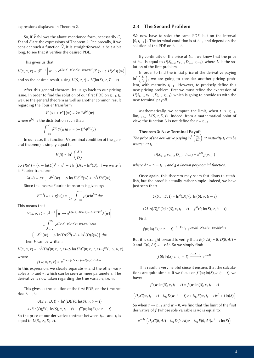expressions displayed in Theorem 2.

So, if *V˜* follows the above-mentioned form, necessarily *C*, *D* and *E* are the expressions of Theorem 2. Reciprocally, if we consider such a function  $\tilde{V}$ , it is straightforward, albeit a bit long, to see that it verifies the desired PDE.

This gives us that:

$$
V(x, \nu, \tau) = \mathcal{F}^{-1} \left[ w \mapsto e^{C(w, \tau) + D(w, \tau) \nu + E(w, \tau) \nu^2} \mathcal{F}(x \mapsto H(e^x)) (w) \right]
$$
  
and so the desired result, using  $U(S, \nu, t) = V(\ln(S), \nu, T - t)$ .

After this general theorem, let us go back to our pricing issue. In order to find the solution of our first PDE on *ti*−1, *ti*, we use the general theorem as well as another common result regarding the Fourier transform:

$$
\mathscr{F}[x \mapsto x^n](w) = 2\pi i^n \delta^{(n)}(w)
$$

where  $\delta^{(n)}$  is the distribution such that:

$$
\int_{-\infty}^{\infty} \delta^{(n)} \phi(w) dw = (-1)^n \phi^{(n)}(0)
$$

In our case, the function *H* (terminal condition of the general theorem) is simply equal to:

$$
H(S) = \ln^2\left(\frac{S}{D}\right)
$$

So  $H(e^x) = (x - \ln(D))^2 = x^2 - 2\ln(D)x + \ln^2(D)$ . If we write  $\lambda$ is Fourier transform:

$$
\lambda(w) = 2\pi \left[ -\delta^{(2)}(w) - 2i \ln(D)\delta^{(1)}(w) + \ln^2(D)\delta(w) \right]
$$

Since the inverse Fourier transform is given by:

$$
\mathscr{F}^{-1}(w \mapsto g(w)) = \frac{1}{2\pi} \int_{-\infty}^{\infty} g(w) e^{iwx} dw
$$

This means that

$$
V(x, \nu, \tau) = \mathcal{F}^{-1} \left[ w \mapsto e^{C(w, \tau) + D(w, \tau) \nu + E(w, \tau) \nu^2} \lambda(w) \right]
$$

$$
= \int_{-\infty}^{\infty} e^{C(w, \tau) + D(w, \tau) \nu + E(w, \tau) \nu^2 + iwx}
$$

$$
\left\{ -\delta^{(2)}(w) - 2i \ln(D)\delta^{(1)}(w) + \ln^2(D)\delta(w) \right\} dw
$$

Then *V* can be written:

$$
V(x, \nu, \tau) = \ln^2(D)f(0; x, \nu, \tau) + 2i\ln(D)f'(0; x, \nu, \tau) - f''(0; x, \nu, \tau).
$$

where

 $f(w; x, \nu, \tau) = e^{C(w, \tau) + D(w, \tau)\nu + E(w, \tau)\nu^2 + iwx}$ 

In this expression, we clearly separate *w* and the other variables  $x$ ,  $\nu$  and  $\tau$ , which can be seen as mere parameters. The derivative is now taken regarding the true variable, i.e. *w*.

This gives us the solution of the first PDE, on the time period *ti*−1, *ti*:

$$
U(S, \nu, D, t) = \ln^2(D)f(0; \ln(S), \nu, t_i - t)
$$

+2*i* ln(*D*)
$$
f'(0; ln(S), \nu, t_i - t) - f''(0; ln(S), \nu, t_i - t)
$$

So the price of our derivative contract between *ti*−<sup>1</sup> and *ti* is equal to  $U(S_t, \nu_t, D_t, t)$ .

#### 2.3 The Second Problem

We now have to solve the same PDE, but on the interval [0, *ti*−<sup>1</sup> [ . The terminal condition is at *ti*−<sup>1</sup> and depend on the solution of the PDE on *ti*−1, *ti*.

By continuity of the price at *ti*−1, we know that the price at *t*<sub>*i*−1</sub> is equal to  $U(S_{t_{i-1}}, \nu_{t_{i-1}}, D_{t_{i-1}}, t_{i-1})$ , where *U* is the solution of the first problem.

In order to find the initial price of the derivative paying  $\ln^2\left(\frac{S_t}{D_t}\right)$ lem, with maturity  $t_{i-1}$ . However, to precisely define this ), we are going to consider another pricing probnew pricing problem, first we must refine the expression of  $U(S_{t_{i-1}}, \nu_{t_{i-1}}, D_{t_{i-1}}, t_{i-1})$ , which is going to provide us with the new terminal payoff.

Mathematically, we compute the limit, when  $t > t_{i-1}$ , lim*t*→*ti*−<sup>1</sup> *U*(*S*, ν,*D*, *t*). Indeed, from a mathematical point of view, the function *U* is not define for  $t = t_{i-1}$ .

#### Theorem 3: New Terminal Payo

The price of the derivative paying  $\ln^2 \left( \frac{S_{t_i}}{D_t} \right)$  *at maturity ti can be written at*  $t_{i-1}$ *:* 

$$
U(S_{t_{i-1}}, \nu_{t_{i-1}}, D_{t_{i-1}}, t_{i-1}) = e^{r\Delta t}g(\nu_{t_{i-1}})
$$

*where*  $\Delta t = t_i - t_{i-1}$  *and*  $g$  *a* known polynomial function.

Once again, this theorem may seem fastidious to establish, but the proof is actually rather simple. Indeed, we have just seen that:

$$
U(S, \nu, D, t) = \ln^2(D) f(0; \ln(S), \nu, t_i - t)
$$

First

$$
f(0; \ln(S), \nu, t_i - t) \xrightarrow{t \to t_{i-1}} e^{C(0, \Delta t) + D(0, \Delta t) \nu + E(0, \Delta t) \nu^2 + 0}
$$

+2*i***ln**(*D*)*f*'(0; ln(*S*),  $\nu$ ,  $t_i - t$ ) − *f*''(0; ln(*S*),  $\nu$ ,  $t_i - t$ )

But it is straightforward to verify that:  $E(0, \Delta t) = 0$ ,  $D(0, \Delta t) = 0$ 0 and  $C(0, \Delta t) = -r\Delta t$ . So we simply find:

$$
f(0; \ln(S), \nu, t_i - t) \xrightarrow{t \to t_{i-1}} e^{-r\Delta t}
$$

This result is very helpful since it ensures that the calculations are quite simple. If we focus on  $f'(w; \ln(S), \nu, t_i - t)$ , we have:

$$
f'(w; \ln(S), \nu, t_i - t) = f(w; \ln(S), \nu, t_i - t)
$$

$$
\left\{\partial_w C(w,t_i-t)+\partial_w D(w,t_i-t)\nu+\partial_w E(w,t_i-t)\nu^2+i\ln(S)\right\}
$$

So when  $t \to t_{i-1}$  and  $w = 0$ , we find that the limit of the first derivative of *f* (whose sole variable is *w*) is equal to:

$$
e^{-\Delta t} \left\{ \partial_w C(0, \Delta t) + \partial_w D(0, \Delta t) \nu + \partial_w E(0, \Delta t) \nu^2 + i \ln(S) \right\}
$$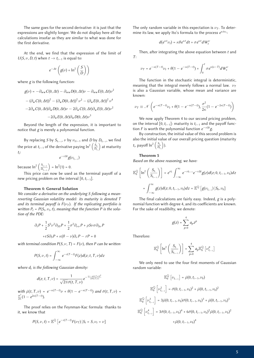The same goes for the second derivative: it is just that the expressions are slightly longer. We do not display here all the calculations insofar as they are similar to what was done for the first derivative.

At the end, we find that the expression of the limit of  $U(S, \nu, D, t)$  when  $t \rightarrow t_{i-1}$  is equal to:

$$
e^{-\Delta t} \left( g(\nu) + \ln^2 \left( \frac{S}{D} \right) \right)
$$

where *g* is the following function:

$$
g(\nu) = -\partial_{ww}C(0, \Delta t) - \partial_{ww}D(0, \Delta t)\nu - \partial_{ww}E(0, \Delta t)\nu^2
$$

$$
-(\partial_{w}C(0, \Delta t))^{2} - (\partial_{w}D(0, \Delta t))^{2}\nu^{2} - (\partial_{w}E(0, \Delta t))^{2}\nu^{4}
$$

$$
-2\partial_{w}C(0, \Delta t)\partial_{w}D(0, \Delta t)\nu - 2\partial_{w}C(0, \Delta t)\partial_{w}E(0, \Delta t)\nu^{2}
$$

$$
-2\partial_{w}E(0, \Delta t)\partial_{w}D(0, \Delta t)\nu^{3}
$$

Beyond the length of the expression, it is important to notice that *g* is merely a polynomial function.

By replacing *S* by  $S_{t_{i-1}}$ ,  $\nu$  by  $\nu_{t_{i-1}}$  and *D* by  $D_{t_{i-1}}$ , we find the price at  $t_{i-1}$  of the derivative paying  $\ln^2\left(\frac{S_{t_i}}{D_{t_i}}\right)$  at maturity *ti*:

$$
e^{-r\Delta t}g(\nu_{t_{i-1}})
$$

because  $\ln^2 \left( \frac{S_{t_{i-1}}}{D_{t_{i-1}}} \right)$  $= ln<sup>2</sup>(1) = 0.$ 

This price can now be used as the terminal payoff of a new pricing problem on the interval [0, *ti*−1].

#### Theorem 4: General Solution

*We consider a derivative on the underlying S following a meanreverting Gaussian volatility model: its maturity is denoted T and its terminal payoff is*  $F(\nu_T)$ *. If the replicating portfolio is written*  $P_t = P(S_t, \nu_t, t)$ *, meaning that the function P is the solution of the PDE:*

$$
\partial_t P + \frac{1}{2} S^2 \nu^2 \partial_{SS} P + \frac{1}{2} \sigma^2 \partial_{\nu \nu} P + \rho S \nu \sigma \partial_{S \nu} P
$$

$$
+ r S \partial_S P + \kappa (\theta - \nu) \partial_{\nu} P - r P = 0
$$

*with terminal condition*  $P(S, \nu, T) = F(\nu)$ *, then P can be written:* 

$$
P(S,\nu,t)=\int_{-\infty}^{\infty}e^{-r(T-t)}F(z)d(z;t,T,\nu)dz
$$

*where*  $d_t$  *is the following Gaussian density:* 

$$
d(z;t,T,\nu)=\frac{1}{\sqrt{2\pi}\bar{\sigma}(t,T,\nu)}e^{-\frac{(z-\bar{\mu}(t,T,\nu))^2}{2\bar{\sigma}(t,T,\nu)}}
$$

 $w$ *ith*  $\bar{\mu}(t, T, \nu) = e^{-\kappa (T-t)} \nu + \theta(1 - e^{-\kappa (T-t)})$  and  $\bar{\sigma}(t, T, \nu) =$  $\frac{\sigma^2}{2\kappa}(1 - e^{2\kappa(T-t)}).$ 

The proof relies on the Feynman-Kac formula: thanks to it, we know that

$$
P(S,\nu,t)=\mathbb{E}^{\mathbb{Q}}\left[e^{-r(T-t)}F(\nu_{T})\big|S_{t}=S,\nu_{t}=\nu\right]
$$

The only random variable in this expectation is  $\nu$ <sub>T</sub>. To determine its law, we apply Ito's formula to the process *e*<sup>κ</sup>*t*ν*<sup>t</sup>* :

$$
d(e^{\kappa t}\nu_t)=\kappa\theta e^{\kappa t}dt+\sigma e^{\kappa t}dW_t^\nu
$$

Then, after integrating the above equation between *t* and *T*:

$$
\nu_T = e^{-\kappa (T-t)} \nu_t + \theta (1 - e^{-\kappa (T-t)}) + \int_0^t \sigma e^{\kappa (s-T)} dW_s^{\nu}
$$

The function in the stochastic integral is deterministic, meaning that the integral merely follows a normal law. ν*<sup>T</sup>* is also a Gaussian variable, whose mean and variance are known:

$$
\nu_T \equiv \mathcal{N}\left(e^{-\kappa(T-t)}\nu_t + \theta(1-e^{-\kappa(T-t)}), \frac{\sigma^2}{2\kappa}(1-e^{-2\kappa(T-t)})\right)
$$

We now apply Theorem 4 to our second pricing problem, on the interval  $[0, t_{i-1}]$ : maturity is  $t_{i-1}$  and the payoff function *F* is worth the polynomial function *e*−*r∆tg*.

By construction, the initial value of this second problem is also the initial value of our overall pricing question (maturity *t<sub>i</sub>*, payoff  $\ln^2 \left( \frac{S_{t_i}}{D_t} \right)$ ).

#### Theorem 5

*Based on the above reasoning, we have:*

$$
\mathbb{E}_0^{\mathbb{Q}}\left[\ln^2\left(\frac{S_{t_i}}{S_{t_{i-1}}}\right)\right] = e^{rt_i} \int_{-\infty}^{\infty} e^{-rt_{i-1}} e^{-r\Delta t} g(z) d(z; 0, t_{i-1}, \nu_0) dz
$$

$$
= \int_{-\infty}^{\infty} g(z) d(z; 0, t_{i-1}, \nu_0) dz = \mathbb{E}^{\mathbb{Q}}\left[g(\nu_{t_{i-1}}) \big| S_0, \nu_0\right]
$$

The final calculations are fairly easy. Indeed, *g* is a polynomial function with degree 4, and its coefficients are known. For the sake of readibilty, we denote:

$$
g(z) = \sum_{p=0}^{4} a_p z^p
$$

Therefore:

$$
\mathbb{E}_0^{\mathbb{Q}}\left[\ln^2\left(\frac{S_{t_i}}{S_{t_{i-1}}}\right)\right] = \sum_{p=0}^4 a_p \mathbb{E}_0^{\mathbb{Q}}\left[\nu_{t_{i-1}}^p\right]
$$

We only need to use the four first moments of Gaussian random variable:

$$
\mathbb{E}_{0}^{\mathbb{Q}}\left[\nu_{t_{i-1}}\right] = \bar{\mu}(0, t_{i-1}, \nu_{0})
$$
\n
$$
\mathbb{E}_{0}^{\mathbb{Q}}\left[\nu_{t_{i-1}}^{2}\right] = \bar{\sigma}(0, t_{i-1}, \nu_{0})^{2} + \bar{\mu}(0, t_{i-1}, \nu_{0})^{2}
$$
\n
$$
\mathbb{E}_{0}^{\mathbb{Q}}\left[\nu_{t_{i-1}}^{3}\right] = 3\bar{\mu}(0, t_{i-1}, \nu_{0})\bar{\sigma}(0, t_{i-1}, \nu_{0})^{3} + \bar{\mu}(0, t_{i-1}, \nu_{0})^{3}
$$
\n
$$
\mathbb{E}_{0}^{\mathbb{Q}}\left[\nu_{t_{i-1}}^{4}\right] = 3\bar{\sigma}(0, t_{i-1}, \nu_{0})^{4} + 6\bar{\sigma}(0, t_{i-1}, \nu_{0})^{2}\bar{\mu}(0, t_{i-1}, \nu_{0})^{2}
$$
\n
$$
+ \bar{\mu}(0, t_{i-1}, \nu_{0})^{4}
$$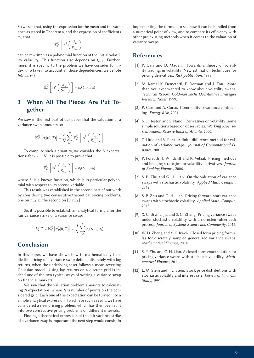So we see that, using the expression for the mean and the variance as stated in Theorem 4, and the expression of coefficients *ap*, that

$$
\mathbb{E}^{\mathbb{Q}}_0\left[\ln^2\left(\frac{S_{t_i}}{S_{t_{i-1}}}\right)\right]
$$

can be rewritten as a polynomial function of the initial volatility value  $\nu_0$ . This function also depends on  $t_{i-1}$ . Furthermore, it is specific to the problem we have consider for index *i*. To take into account all those dependencies, we denote  $h_i(t_{i-1}, \nu_0)$ :

$$
\mathbb{E}_0^{\mathbb{Q}}\left[\ln^2\left(\frac{S_{t_i}}{S_{t_{i-1}}}\right)\right] = h_i(t_{i-1}, \nu_0)
$$

# 3 When All The Pieces Are Put Together

We saw in the first part of our paper that the valuation of a variance swap amounts to:

$$
\mathbb{E}_0^{\mathbb{Q}}\left[\sigma_R^2(0,T)\right] = \frac{A}{N}\sum_{i=1}^N \mathbb{E}_0^{\mathbb{Q}}\left[\ln^2\left(\frac{S_{t_i}}{S_{t_{i-1}}}\right)\right]
$$

To compute such a quantity, we consider the *N* expectations: for  $i = 1..N$ , it is possible to prove that

$$
\mathbb{E}_0^{\mathbb{Q}}\left[\ln^2\left(\frac{S_{t_i}}{S_{t_{i-1}}}\right)\right] = h_i(t_{i-1},\nu_0)
$$

where  $h_i$  is a known function, which is in particular polynomial with respect to its second variable.

This result was established in the second part of our work by considering two consecutive theoretical pricing problems, one on  $t_{i-1}$ ,  $t_i$ , the second on  $[0, t_{i-1}]$ .

So, it is possible to establish an analytical formula for the fair variance strike of a variance swap:

$$
K_v^{fair} = \mathbb{E}^{\mathbb{Q}}_0 \left[ \sigma_R^2(0, T) \right] = \frac{A}{N} \sum_{i=1}^N h_i(t_{i-1}, \nu_0)
$$

## Conclusion

In this paper, we have shown how to mathematically handle the pricing of a variance swap defined discretely with log returns, when the underlying asset follows a mean-reverting Gaussian model. Using log returns on a discrete grid is indeed one of the two typical ways of writing a variance swap on financial markets.

We saw that the valuation problem amounts to calculating *N* expectations, where *N* is number of points on the considered grid. Each one of the expectation can be turned into a simple analytical expression. To achieve such a result, we have considered a new pricing problem, which has then been split into two consecutive pricing problems on different intervals.

Finding a theoretical expression of the fair variance strike of a variance swap is important: the next step would consist in

implementing the formula to see how it can be handled from a numerical point of view, and to compare its efficiency with other pre-existing methods when it comes to the valuation of variance swaps.

## References

- [1] P. Carr and D. Madan. Towards a theory of volatility trading, in volatility: New estimation techniques for pricing derivatives. *Risk publication*, 1998.
- [2] M. Kamal K. Demeterfi, E. Derman and J. Zou. More than you ever wanted to know about volatility swaps. **Technical Report, Goldman Sachs Quantitative Strategies** *Research Notes*, 1999.
- [3] P. Carr and A. Corso. Commodity covariance contracting. *Energy Risk*, 2001.
- [4] S. L. Heston and S. Nandi. Derivatives on volatility: some simple solutions based on observables. *Working paper serier, Federal Reserve Bank of Atlanta*, 2000.
- [5] T. Little and V. Pant. A finite-difference method for valuation of variance swaps. *Journal of Computational Finance*, 2001.
- [6] P. Forsyth H. Windcliff and K. Vetzal. Pricing methods and hedging strategies for volatility derivatives. *Journal of Banking Finance*, 2006.
- [7] S. P. Zhu and G. H. Lian. On the valuation of variance swaps with stochastic volatility. *Applied Math. Comput.*, 2012.
- [8] S. P. Zhu and G. H. Lian. Pricing forward-start variance swaps with stochastic volatility. *Applied Math. Comput.*, 2015.
- [9] X. C. Bi Z. L. Jia and S. G. Zhang. Pricing variance swaps under stochastic volatility with an ornstein-uhlenbeck process. *Journal of Systems Science and Complexity*, 2015.
- [10] W. D. Zheng and Y. K. Kwok. Closed form pricing formulas for discretely sampled generalized variance swaps. *Mathematical Finance*, 2014.
- [11] S. P. Zhu and G. H. Lian. A closed-form exact solution for pricing variance swaps with stochastic volatility. *Mathematical Finance*, 2011.
- [12] E. M. Stein and J. E. Stein. Stock price distributions with stochastic volatlity and interest rate. *Review of Financial Study*, 1991.